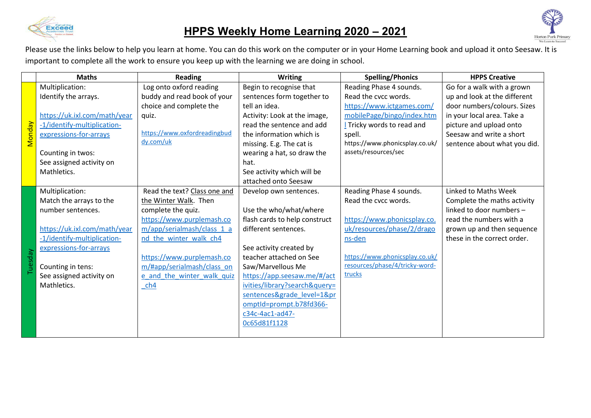

## **HPPS Weekly Home Learning 2020 – 2021**



Please use the links below to help you learn at home. You can do this work on the computer or in your Home Learning book and upload it onto Seesaw. It is important to complete all the work to ensure you keep up with the learning we are doing in school.

|               | <b>Maths</b>                 | <b>Reading</b>               | <b>Writing</b>                | <b>Spelling/Phonics</b>        | <b>HPPS Creative</b>         |
|---------------|------------------------------|------------------------------|-------------------------------|--------------------------------|------------------------------|
|               | Multiplication:              | Log onto oxford reading      | Begin to recognise that       | Reading Phase 4 sounds.        | Go for a walk with a grown   |
|               | Identify the arrays.         | buddy and read book of your  | sentences form together to    | Read the cycc words.           | up and look at the different |
|               |                              | choice and complete the      | tell an idea.                 | https://www.ictgames.com/      | door numbers/colours. Sizes  |
|               | https://uk.ixl.com/math/year | quiz.                        | Activity: Look at the image,  | mobilePage/bingo/index.htm     | in your local area. Take a   |
|               | -1/identify-multiplication-  |                              | read the sentence and add     | Tricky words to read and       | picture and upload onto      |
| <b>Monday</b> | expressions-for-arrays       | https://www.oxfordreadingbud | the information which is      | spell.                         | Seesaw and write a short     |
|               |                              | dy.com/uk                    | missing. E.g. The cat is      | https://www.phonicsplay.co.uk/ | sentence about what you did. |
|               | Counting in twos:            |                              | wearing a hat, so draw the    | assets/resources/sec           |                              |
|               | See assigned activity on     |                              | hat.                          |                                |                              |
|               | Mathletics.                  |                              | See activity which will be    |                                |                              |
|               |                              |                              | attached onto Seesaw          |                                |                              |
|               | Multiplication:              | Read the text? Class one and | Develop own sentences.        | Reading Phase 4 sounds.        | Linked to Maths Week         |
|               | Match the arrays to the      | the Winter Walk. Then        |                               | Read the cycc words.           | Complete the maths activity  |
|               | number sentences.            | complete the quiz.           | Use the who/what/where        |                                | linked to door numbers -     |
|               |                              | https://www.purplemash.co    | flash cards to help construct | https://www.phonicsplay.co.    | read the numbers with a      |
|               | https://uk.ixl.com/math/year | m/app/serialmash/class 1 a   | different sentences.          | uk/resources/phase/2/drago     | grown up and then sequence   |
|               | -1/identify-multiplication-  | nd the winter walk ch4       |                               | ns-den                         | these in the correct order.  |
|               | expressions-for-arrays       |                              | See activity created by       |                                |                              |
|               |                              | https://www.purplemash.co    | teacher attached on See       | https://www.phonicsplay.co.uk/ |                              |
| Tuesday       | Counting in tens:            | m/#app/serialmash/class_on   | Saw/Marvellous Me             | resources/phase/4/tricky-word- |                              |
|               | See assigned activity on     | e and the winter walk quiz   | https://app.seesaw.me/#/act   | trucks                         |                              |
|               | Mathletics.                  | ch4                          | ivities/library?search&query= |                                |                              |
|               |                              |                              | sentences&grade level=1≺      |                                |                              |
|               |                              |                              | omptId=prompt.b78fd366-       |                                |                              |
|               |                              |                              | c34c-4ac1-ad47-               |                                |                              |
|               |                              |                              | 0c65d81f1128                  |                                |                              |
|               |                              |                              |                               |                                |                              |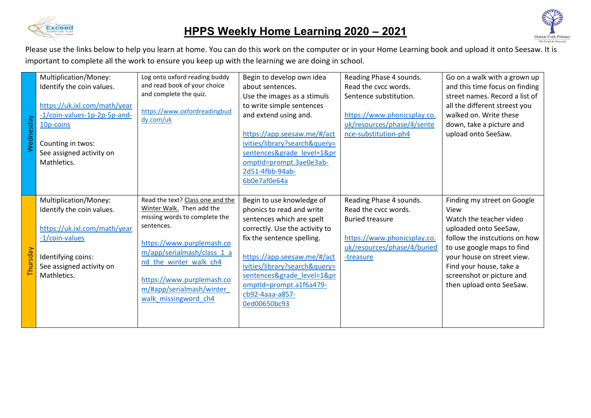

## **HPPS Weekly Home Learning 2020 – 2021**



Please use the links below to help you learn at home. You can do this work on the computer or in your Home Learning book and upload it onto Seesaw. It is important to complete all the work to ensure you keep up with the learning we are doing in school.

| Wednesday | Multiplication/Money:<br>Identify the coin values.<br>https://uk.ixl.com/math/year<br>-1/coin-values-1p-2p-5p-and-<br>10p-coins<br>Counting in twos:<br>See assigned activity on<br>Mathletics. | Log onto oxford reading buddy<br>and read book of your choice<br>and complete the quiz.<br>https://www.oxfordreadingbud<br>dy.com/uk                                                                                                                                               | Begin to develop own idea<br>about sentences.<br>Use the images as a stimuls<br>to write simple sentences<br>and extend using and.<br>https://app.seesaw.me/#/act<br>ivities/library?search&query=<br>sentences&grade level=1≺<br>omptId=prompt.3ae0e3ab-<br>2d51-4fbb-94ab-<br>6b0e7af0e64a                  | Reading Phase 4 sounds.<br>Read the cycc words.<br>Sentence substitution.<br>https://www.phonicsplay.co.<br>uk/resources/phase/4/sente<br>nce-substitution-ph4 | Go on a walk with a grown up<br>and this time focus on finding<br>street names. Record a list of<br>all the different streest you<br>walked on. Write these<br>down, take a picture and<br>upload onto SeeSaw.                                                           |
|-----------|-------------------------------------------------------------------------------------------------------------------------------------------------------------------------------------------------|------------------------------------------------------------------------------------------------------------------------------------------------------------------------------------------------------------------------------------------------------------------------------------|---------------------------------------------------------------------------------------------------------------------------------------------------------------------------------------------------------------------------------------------------------------------------------------------------------------|----------------------------------------------------------------------------------------------------------------------------------------------------------------|--------------------------------------------------------------------------------------------------------------------------------------------------------------------------------------------------------------------------------------------------------------------------|
| Thursday  | Multiplication/Money:<br>Identify the coin values.<br>https://uk.ixl.com/math/year<br>$-1$ /coin-values<br>Identifying coins:<br>See assigned activity on<br>Mathletics.                        | Read the text? Class one and the<br>Winter Walk. Then add the<br>missing words to complete the<br>sentences.<br>https://www.purplemash.co<br>m/app/serialmash/class 1 a<br>nd the winter walk ch4<br>https://www.purplemash.co<br>m/#app/serialmash/winter<br>walk missingword ch4 | Begin to use knowledge of<br>phonics to read and write<br>sentences which are spelt<br>correctly. Use the activity to<br>fix the sentence spelling.<br>https://app.seesaw.me/#/act<br>ivities/library?search&query=<br>sentences&grade level=1≺<br>omptld=prompt.a1f6a479-<br>cb92-4aaa-a857-<br>0ed00650bc93 | Reading Phase 4 sounds.<br>Read the cycc words.<br><b>Buried treasure</b><br>https://www.phonicsplay.co.<br>uk/resources/phase/4/buried<br>-treasure           | Finding my street on Google<br>View<br>Watch the teacher video<br>uploaded onto SeeSaw,<br>follow the instcutions on how<br>to use google maps to find<br>your house on street view.<br>Find your house, take a<br>screenshot or picture and<br>then upload onto SeeSaw. |